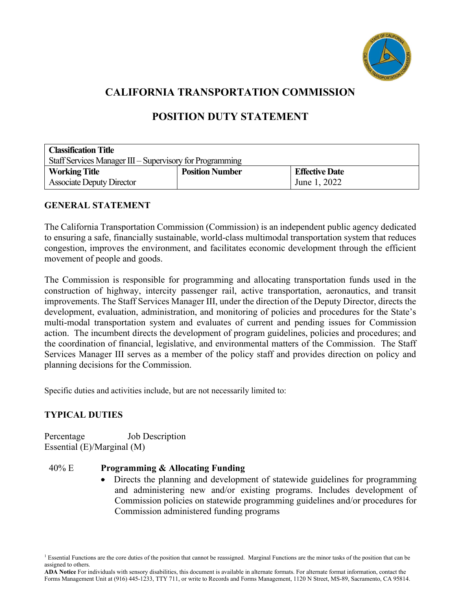

# **CALIFORNIA TRANSPORTATION COMMISSION**

# **POSITION DUTY STATEMENT**

| <b>Classification Title</b>                              |                        |                       |
|----------------------------------------------------------|------------------------|-----------------------|
| Staff Services Manager III - Supervisory for Programming |                        |                       |
| <b>Working Title</b>                                     | <b>Position Number</b> | <b>Effective Date</b> |
| <b>Associate Deputy Director</b>                         |                        | June 1, 2022          |

# **GENERAL STATEMENT**

 congestion, improves the environment, and facilitates economic development through the efficient The California Transportation Commission (Commission) is an independent public agency dedicated to ensuring a safe, financially sustainable, world-class multimodal transportation system that reduces movement of people and goods.

 multi-modal transportation system and evaluates of current and pending issues for Commission action. The incumbent directs the development of program guidelines, policies and procedures; and the coordination of financial, legislative, and environmental matters of the Commission. The Staff Services Manager III serves as a member of the policy staff and provides direction on policy and The Commission is responsible for programming and allocating transportation funds used in the construction of highway, intercity passenger rail, active transportation, aeronautics, and transit improvements. The Staff Services Manager III, under the direction of the Deputy Director, directs the development, evaluation, administration, and monitoring of policies and procedures for the State's planning decisions for the Commission.

Specific duties and activities include, but are not necessarily limited to:

# **TYPICAL DUTIES**

Percentage Job Description Essential (E)/Marginal (M)

#### 40% E **Programming & Allocating Funding**

• Directs the planning and development of statewide guidelines for programming and administering new and/or existing programs. Includes development of Commission policies on statewide programming guidelines and/or procedures for Commission administered funding programs

<sup>&</sup>lt;sup>1</sup> Essential Functions are the core duties of the position that cannot be reassigned. Marginal Functions are the minor tasks of the position that can be assigned to others.

 **ADA Notice** For individuals with sensory disabilities, this document is available in alternate formats. For alternate format information, contact the Forms Management Unit at (916) 445-1233, TTY 711, or write to Records and Forms Management, 1120 N Street, MS-89, Sacramento, CA 95814.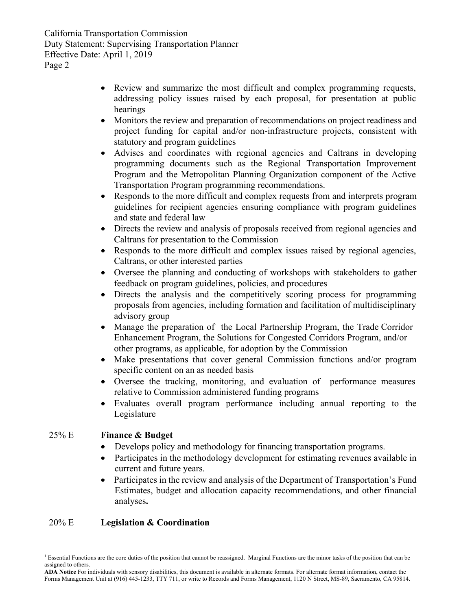- Review and summarize the most difficult and complex programming requests, addressing policy issues raised by each proposal, for presentation at public hearings
- Monitors the review and preparation of recommendations on project readiness and project funding for capital and/or non-infrastructure projects, consistent with statutory and program guidelines
- Advises and coordinates with regional agencies and Caltrans in developing programming documents such as the Regional Transportation Improvement Program and the Metropolitan Planning Organization component of the Active Transportation Program programming recommendations.
- Responds to the more difficult and complex requests from and interprets program guidelines for recipient agencies ensuring compliance with program guidelines and state and federal law
- Directs the review and analysis of proposals received from regional agencies and Caltrans for presentation to the Commission
- Responds to the more difficult and complex issues raised by regional agencies, Caltrans, or other interested parties
- Oversee the planning and conducting of workshops with stakeholders to gather feedback on program guidelines, policies, and procedures
- Directs the analysis and the competitively scoring process for programming proposals from agencies, including formation and facilitation of multidisciplinary advisory group
- Manage the preparation of the Local Partnership Program, the Trade Corridor Enhancement Program, the Solutions for Congested Corridors Program, and/or other programs, as applicable, for adoption by the Commission
- Make presentations that cover general Commission functions and/or program specific content on an as needed basis
- Oversee the tracking, monitoring, and evaluation of performance measures relative to Commission administered funding programs
- Evaluates overall program performance including annual reporting to the Legislature

# 25% E **Finance & Budget**

- Develops policy and methodology for financing transportation programs.
- Participates in the methodology development for estimating revenues available in current and future years.
- Participates in the review and analysis of the Department of Transportation's Fund Estimates, budget and allocation capacity recommendations, and other financial analyses**.**

# 20% E **Legislation & Coordination**

 **ADA Notice** For individuals with sensory disabilities, this document is available in alternate formats. For alternate format information, contact the Forms Management Unit at (916) 445-1233, TTY 711, or write to Records and Forms Management, 1120 N Street, MS-89, Sacramento, CA 95814.

<sup>&</sup>lt;sup>1</sup> Essential Functions are the core duties of the position that cannot be reassigned. Marginal Functions are the minor tasks of the position that can be assigned to others.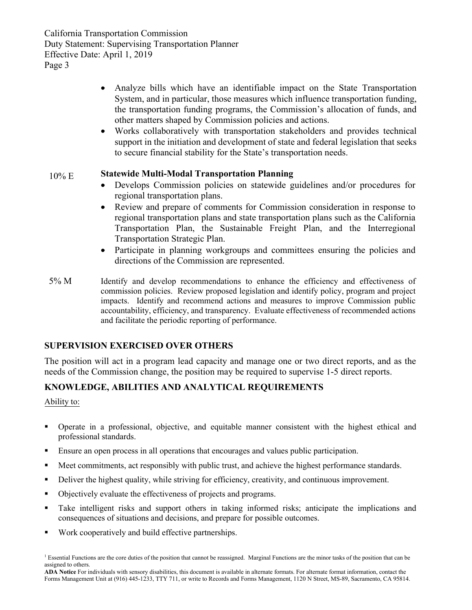- Analyze bills which have an identifiable impact on the State Transportation System, and in particular, those measures which influence transportation funding, the transportation funding programs, the Commission's allocation of funds, and other matters shaped by Commission policies and actions.
- Works collaboratively with transportation stakeholders and provides technical support in the initiation and development of state and federal legislation that seeks to secure financial stability for the State's transportation needs.

#### 10% E **Statewide Multi-Modal Transportation Planning**

- Develops Commission policies on statewide guidelines and/or procedures for regional transportation plans.
- • Review and prepare of comments for Commission consideration in response to Transportation Plan, the Sustainable Freight Plan, and the Interregional regional transportation plans and state transportation plans such as the California Transportation Strategic Plan.
- Participate in planning workgroups and committees ensuring the policies and directions of the Commission are represented.
- 5% M Identify and develop recommendations to enhance the efficiency and effectiveness of commission policies. Review proposed legislation and identify policy, program and project accountability, efficiency, and transparency. Evaluate effectiveness of recommended actions impacts. Identify and recommend actions and measures to improve Commission public and facilitate the periodic reporting of performance.

# **SUPERVISION EXERCISED OVER OTHERS**

The position will act in a program lead capacity and manage one or two direct reports, and as the needs of the Commission change, the position may be required to supervise 1-5 direct reports.

# **KNOWLEDGE, ABILITIES AND ANALYTICAL REQUIREMENTS**

Ability to:

- Operate in a professional, objective, and equitable manner consistent with the highest ethical and professional standards.
- Ensure an open process in all operations that encourages and values public participation.
- Meet commitments, act responsibly with public trust, and achieve the highest performance standards.
- Deliver the highest quality, while striving for efficiency, creativity, and continuous improvement.
- Objectively evaluate the effectiveness of projects and programs.
- Take intelligent risks and support others in taking informed risks; anticipate the implications and consequences of situations and decisions, and prepare for possible outcomes.
- Work cooperatively and build effective partnerships.

<sup>&</sup>lt;sup>1</sup> Essential Functions are the core duties of the position that cannot be reassigned. Marginal Functions are the minor tasks of the position that can be assigned to others.

 **ADA Notice** For individuals with sensory disabilities, this document is available in alternate formats. For alternate format information, contact the Forms Management Unit at (916) 445-1233, TTY 711, or write to Records and Forms Management, 1120 N Street, MS-89, Sacramento, CA 95814.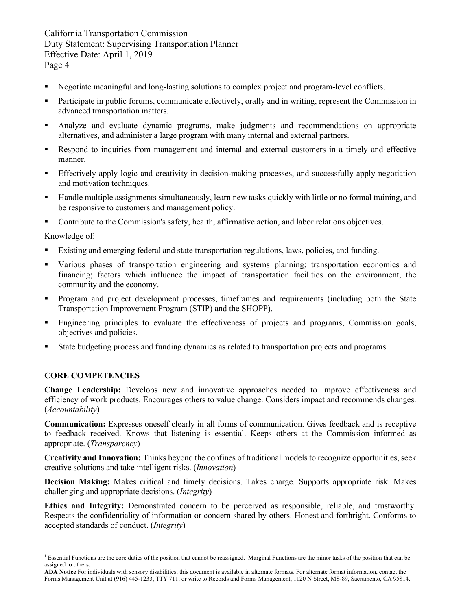- Negotiate meaningful and long-lasting solutions to complex project and program-level conflicts.
- Participate in public forums, communicate effectively, orally and in writing, represent the Commission in advanced transportation matters.
- Analyze and evaluate dynamic programs, make judgments and recommendations on appropriate alternatives, and administer a large program with many internal and external partners.
- Respond to inquiries from management and internal and external customers in a timely and effective manner.
- **Effectively apply logic and creativity in decision-making processes, and successfully apply negotiation** and motivation techniques.
- be responsive to customers and management policy. Handle multiple assignments simultaneously, learn new tasks quickly with little or no formal training, and
- **Contribute to the Commission's safety, health, affirmative action, and labor relations objectives.**

#### Knowledge of:

- Existing and emerging federal and state transportation regulations, laws, policies, and funding.
- Various phases of transportation engineering and systems planning; transportation economics and financing; factors which influence the impact of transportation facilities on the environment, the community and the economy.
- Program and project development processes, timeframes and requirements (including both the State Transportation Improvement Program (STIP) and the SHOPP).
- **Engineering principles to evaluate the effectiveness of projects and programs, Commission goals,** objectives and policies.
- State budgeting process and funding dynamics as related to transportation projects and programs.

#### **CORE COMPETENCIES**

 efficiency of work products. Encourages others to value change. Considers impact and recommends changes. **Change Leadership:** Develops new and innovative approaches needed to improve effectiveness and (*Accountability*)

 **Communication:** Expresses oneself clearly in all forms of communication. Gives feedback and is receptive to feedback received. Knows that listening is essential. Keeps others at the Commission informed as appropriate. (*Transparency*)

 **Creativity and Innovation:** Thinks beyond the confines of traditional models to recognize opportunities, seek creative solutions and take intelligent risks. (*Innovation*)

 **Decision Making:** Makes critical and timely decisions. Takes charge. Supports appropriate risk. Makes challenging and appropriate decisions. (*Integrity*)

 Respects the confidentiality of information or concern shared by others. Honest and forthright. Conforms to **Ethics and Integrity:** Demonstrated concern to be perceived as responsible, reliable, and trustworthy. accepted standards of conduct. (*Integrity*)

<sup>&</sup>lt;sup>1</sup> Essential Functions are the core duties of the position that cannot be reassigned. Marginal Functions are the minor tasks of the position that can be assigned to others.

 **ADA Notice** For individuals with sensory disabilities, this document is available in alternate formats. For alternate format information, contact the Forms Management Unit at (916) 445-1233, TTY 711, or write to Records and Forms Management, 1120 N Street, MS-89, Sacramento, CA 95814.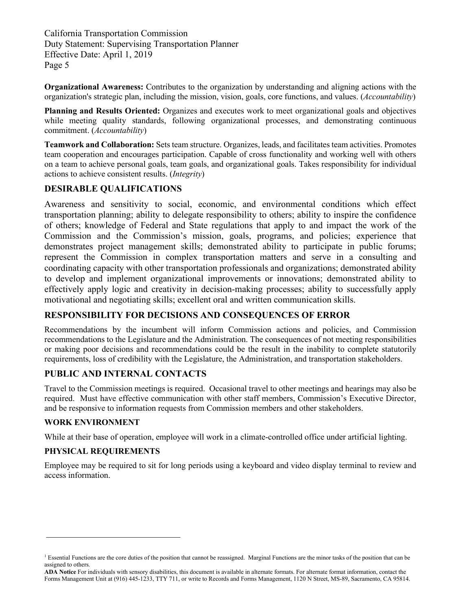**Organizational Awareness:** Contributes to the organization by understanding and aligning actions with the organization's strategic plan, including the mission, vision, goals, core functions, and values. (*Accountability*)

**Planning and Results Oriented:** Organizes and executes work to meet organizational goals and objectives while meeting quality standards, following organizational processes, and demonstrating continuous commitment. (*Accountability*)

 **Teamwork and Collaboration:** Sets team structure. Organizes, leads, and facilitates team activities. Promotes team cooperation and encourages participation. Capable of cross functionality and working well with others on a team to achieve personal goals, team goals, and organizational goals. Takes responsibility for individual actions to achieve consistent results. (*Integrity*)

#### **DESIRABLE QUALIFICATIONS**

Awareness and sensitivity to social, economic, and environmental conditions which effect transportation planning; ability to delegate responsibility to others; ability to inspire the confidence of others; knowledge of Federal and State regulations that apply to and impact the work of the Commission and the Commission's mission, goals, programs, and policies; experience that demonstrates project management skills; demonstrated ability to participate in public forums; represent the Commission in complex transportation matters and serve in a consulting and coordinating capacity with other transportation professionals and organizations; demonstrated ability to develop and implement organizational improvements or innovations; demonstrated ability to effectively apply logic and creativity in decision-making processes; ability to successfully apply motivational and negotiating skills; excellent oral and written communication skills.

# **RESPONSIBILITY FOR DECISIONS AND CONSEQUENCES OF ERROR**

 or making poor decisions and recommendations could be the result in the inability to complete statutorily Recommendations by the incumbent will inform Commission actions and policies, and Commission recommendations to the Legislature and the Administration. The consequences of not meeting responsibilities requirements, loss of credibility with the Legislature, the Administration, and transportation stakeholders.

# **PUBLIC AND INTERNAL CONTACTS**

 required. Must have effective communication with other staff members, Commission's Executive Director, Travel to the Commission meetings is required. Occasional travel to other meetings and hearings may also be and be responsive to information requests from Commission members and other stakeholders.

#### **WORK ENVIRONMENT**

While at their base of operation, employee will work in a climate-controlled office under artificial lighting.

#### **PHYSICAL REQUIREMENTS**

\_\_\_\_\_\_\_\_\_\_\_\_\_\_\_\_\_\_\_\_\_\_\_\_\_\_\_\_\_

 Employee may be required to sit for long periods using a keyboard and video display terminal to review and access information.

<sup>&</sup>lt;sup>1</sup> Essential Functions are the core duties of the position that cannot be reassigned. Marginal Functions are the minor tasks of the position that can be assigned to others.

 **ADA Notice** For individuals with sensory disabilities, this document is available in alternate formats. For alternate format information, contact the Forms Management Unit at (916) 445-1233, TTY 711, or write to Records and Forms Management, 1120 N Street, MS-89, Sacramento, CA 95814.